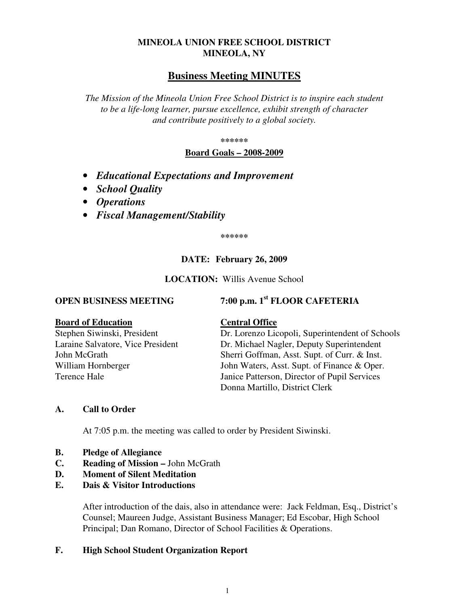## **MINEOLA UNION FREE SCHOOL DISTRICT MINEOLA, NY**

# **Business Meeting MINUTES**

*The Mission of the Mineola Union Free School District is to inspire each student to be a life-long learner, pursue excellence, exhibit strength of character and contribute positively to a global society.* 

**\*\*\*\*\*\*** 

**Board Goals – 2008-2009**

- *Educational Expectations and Improvement*
- *School Quality*
- *Operations*
- *Fiscal Management/Stability*

**\*\*\*\*\*\*** 

## **DATE: February 26, 2009**

### **LOCATION:** Willis Avenue School

# **OPEN BUSINESS MEETING 7:00 p.m. 1st FLOOR CAFETERIA**

#### **Board of Education Central Office**

Stephen Siwinski, President Dr. Lorenzo Licopoli, Superintendent of Schools Laraine Salvatore, Vice President Dr. Michael Nagler, Deputy Superintendent John McGrath Sherri Goffman, Asst. Supt. of Curr. & Inst. William Hornberger John Waters, Asst. Supt. of Finance & Oper. Terence Hale Janice Patterson, Director of Pupil Services Donna Martillo, District Clerk

## **A. Call to Order**

At 7:05 p.m. the meeting was called to order by President Siwinski.

- **B. Pledge of Allegiance**
- **C. Reading of Mission** John McGrath
- **D. Moment of Silent Meditation**
- **E. Dais & Visitor Introductions**

After introduction of the dais, also in attendance were: Jack Feldman, Esq., District's Counsel; Maureen Judge, Assistant Business Manager; Ed Escobar, High School Principal; Dan Romano, Director of School Facilities & Operations.

### **F. High School Student Organization Report**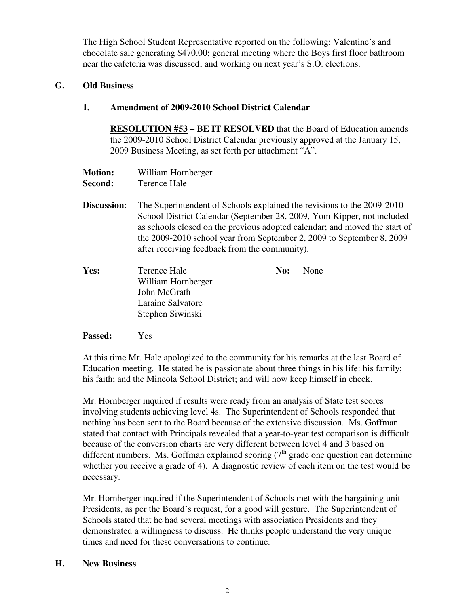The High School Student Representative reported on the following: Valentine's and chocolate sale generating \$470.00; general meeting where the Boys first floor bathroom near the cafeteria was discussed; and working on next year's S.O. elections.

## **G. Old Business**

## **1. Amendment of 2009-2010 School District Calendar**

**RESOLUTION #53 – BE IT RESOLVED** that the Board of Education amends the 2009-2010 School District Calendar previously approved at the January 15, 2009 Business Meeting, as set forth per attachment "A".

| <b>Motion:</b> | William Hornberger |
|----------------|--------------------|
| Second:        | Terence Hale       |

- **Discussion:** The Superintendent of Schools explained the revisions to the 2009-2010 School District Calendar (September 28, 2009, Yom Kipper, not included as schools closed on the previous adopted calendar; and moved the start of the 2009-2010 school year from September 2, 2009 to September 8, 2009 after receiving feedback from the community).
- **Yes:** Terence Hale **No:** None William Hornberger John McGrath Laraine Salvatore Stephen Siwinski

### **Passed:** Yes

At this time Mr. Hale apologized to the community for his remarks at the last Board of Education meeting. He stated he is passionate about three things in his life: his family; his faith; and the Mineola School District; and will now keep himself in check.

Mr. Hornberger inquired if results were ready from an analysis of State test scores involving students achieving level 4s. The Superintendent of Schools responded that nothing has been sent to the Board because of the extensive discussion. Ms. Goffman stated that contact with Principals revealed that a year-to-year test comparison is difficult because of the conversion charts are very different between level 4 and 3 based on different numbers. Ms. Goffman explained scoring  $(7<sup>th</sup>$  grade one question can determine whether you receive a grade of 4). A diagnostic review of each item on the test would be necessary.

Mr. Hornberger inquired if the Superintendent of Schools met with the bargaining unit Presidents, as per the Board's request, for a good will gesture. The Superintendent of Schools stated that he had several meetings with association Presidents and they demonstrated a willingness to discuss. He thinks people understand the very unique times and need for these conversations to continue.

### **H. New Business**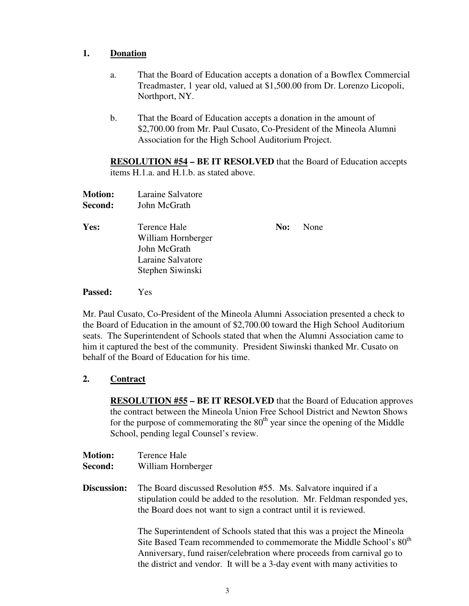## **1. Donation**

- a. That the Board of Education accepts a donation of a Bowflex Commercial Treadmaster, 1 year old, valued at \$1,500.00 from Dr. Lorenzo Licopoli, Northport, NY.
- b. That the Board of Education accepts a donation in the amount of \$2,700.00 from Mr. Paul Cusato, Co-President of the Mineola Alumni Association for the High School Auditorium Project.

**RESOLUTION #54 – BE IT RESOLVED** that the Board of Education accepts items H.1.a. and H.1.b. as stated above.

| <b>Motion:</b> | Laraine Salvatore                                                       |     |      |
|----------------|-------------------------------------------------------------------------|-----|------|
| Second:        | John McGrath                                                            |     |      |
| Yes:           | Terence Hale<br>William Hornberger<br>John McGrath<br>Laraine Salvatore | No: | None |
|                | Stephen Siwinski                                                        |     |      |

**Passed:** Yes

Mr. Paul Cusato, Co-President of the Mineola Alumni Association presented a check to the Board of Education in the amount of \$2,700.00 toward the High School Auditorium seats. The Superintendent of Schools stated that when the Alumni Association came to him it captured the best of the community. President Siwinski thanked Mr. Cusato on behalf of the Board of Education for his time.

## **2. Contract**

**RESOLUTION #55 – BE IT RESOLVED** that the Board of Education approves the contract between the Mineola Union Free School District and Newton Shows for the purpose of commemorating the  $80<sup>th</sup>$  year since the opening of the Middle School, pending legal Counsel's review.

- **Motion:** Terence Hale
- **Second:** William Hornberger

**Discussion:** The Board discussed Resolution #55. Ms. Salvatore inquired if a stipulation could be added to the resolution. Mr. Feldman responded yes, the Board does not want to sign a contract until it is reviewed.

> The Superintendent of Schools stated that this was a project the Mineola Site Based Team recommended to commemorate the Middle School's  $80<sup>th</sup>$ Anniversary, fund raiser/celebration where proceeds from carnival go to the district and vendor. It will be a 3-day event with many activities to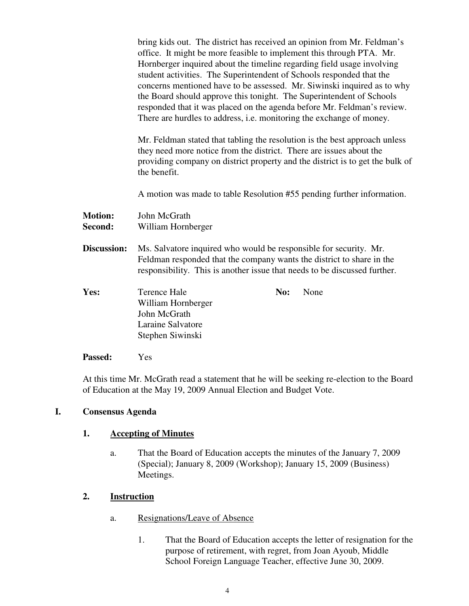bring kids out. The district has received an opinion from Mr. Feldman's office. It might be more feasible to implement this through PTA. Mr. Hornberger inquired about the timeline regarding field usage involving student activities. The Superintendent of Schools responded that the concerns mentioned have to be assessed. Mr. Siwinski inquired as to why the Board should approve this tonight. The Superintendent of Schools responded that it was placed on the agenda before Mr. Feldman's review. There are hurdles to address, i.e. monitoring the exchange of money.

Mr. Feldman stated that tabling the resolution is the best approach unless they need more notice from the district. There are issues about the providing company on district property and the district is to get the bulk of the benefit.

A motion was made to table Resolution #55 pending further information.

**Motion:** John McGrath **Second:** William Hornberger

**Discussion:** Ms. Salvatore inquired who would be responsible for security. Mr. Feldman responded that the company wants the district to share in the responsibility. This is another issue that needs to be discussed further.

| Yes: | Terence Hale       | <b>No:</b> None |
|------|--------------------|-----------------|
|      | William Hornberger |                 |
|      | John McGrath       |                 |
|      | Laraine Salvatore  |                 |
|      | Stephen Siwinski   |                 |

**Passed:** Yes

At this time Mr. McGrath read a statement that he will be seeking re-election to the Board of Education at the May 19, 2009 Annual Election and Budget Vote.

## **I. Consensus Agenda**

## **1. Accepting of Minutes**

a. That the Board of Education accepts the minutes of the January 7, 2009 (Special); January 8, 2009 (Workshop); January 15, 2009 (Business) Meetings.

## **2. Instruction**

- a. Resignations/Leave of Absence
	- 1. That the Board of Education accepts the letter of resignation for the purpose of retirement, with regret, from Joan Ayoub, Middle School Foreign Language Teacher, effective June 30, 2009.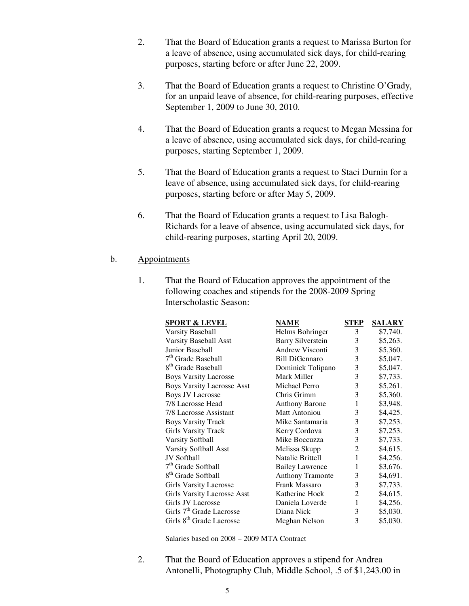- 2. That the Board of Education grants a request to Marissa Burton for a leave of absence, using accumulated sick days, for child-rearing purposes, starting before or after June 22, 2009.
- 3. That the Board of Education grants a request to Christine O'Grady, for an unpaid leave of absence, for child-rearing purposes, effective September 1, 2009 to June 30, 2010.
- 4. That the Board of Education grants a request to Megan Messina for a leave of absence, using accumulated sick days, for child-rearing purposes, starting September 1, 2009.
- 5. That the Board of Education grants a request to Staci Durnin for a leave of absence, using accumulated sick days, for child-rearing purposes, starting before or after May 5, 2009.
- 6. That the Board of Education grants a request to Lisa Balogh-Richards for a leave of absence, using accumulated sick days, for child-rearing purposes, starting April 20, 2009.

#### b. Appointments

1. That the Board of Education approves the appointment of the following coaches and stipends for the 2008-2009 Spring Interscholastic Season:

| <b>SPORT &amp; LEVEL</b>             | <b>NAME</b>              | STEP | <b>SALARY</b> |
|--------------------------------------|--------------------------|------|---------------|
| <b>Varsity Baseball</b>              | Helms Bohringer          | 3    | \$7,740.      |
| Varsity Baseball Asst                | <b>Barry Silverstein</b> | 3    | \$5,263.      |
| Junior Baseball                      | Andrew Visconti          | 3    | \$5,360.      |
| 7 <sup>th</sup> Grade Baseball       | <b>Bill DiGennaro</b>    | 3    | \$5,047.      |
| 8 <sup>th</sup> Grade Baseball       | Dominick Tolipano        | 3    | \$5,047.      |
| <b>Boys Varsity Lacrosse</b>         | Mark Miller              | 3    | \$7,733.      |
| <b>Boys Varsity Lacrosse Asst</b>    | Michael Perro            | 3    | \$5,261.      |
| <b>Boys JV Lacrosse</b>              | Chris Grimm              | 3    | \$5,360.      |
| 7/8 Lacrosse Head                    | <b>Anthony Barone</b>    | 1    | \$3,948.      |
| 7/8 Lacrosse Assistant               | Matt Antoniou            | 3    | \$4,425.      |
| <b>Boys Varsity Track</b>            | Mike Santamaria          | 3    | \$7,253.      |
| <b>Girls Varsity Track</b>           | Kerry Cordova            | 3    | \$7,253.      |
| <b>Varsity Softball</b>              | Mike Boccuzza            | 3    | \$7,733.      |
| Varsity Softball Asst                | Melissa Skupp            | 2    | \$4,615.      |
| JV Softball                          | Natalie Brittell         | 1    | \$4,256.      |
| 7 <sup>th</sup> Grade Softball       | <b>Bailey Lawrence</b>   | 1    | \$3,676.      |
| 8 <sup>th</sup> Grade Softball       | <b>Anthony Tramonte</b>  | 3    | \$4,691.      |
| <b>Girls Varsity Lacrosse</b>        | Frank Massaro            | 3    | \$7,733.      |
| <b>Girls Varsity Lacrosse Asst</b>   | Katherine Hock           | 2    | \$4,615.      |
| <b>Girls JV Lacrosse</b>             | Daniela Loverde          | 1    | \$4,256.      |
| Girls 7 <sup>th</sup> Grade Lacrosse | Diana Nick               | 3    | \$5,030.      |
| Girls 8 <sup>th</sup> Grade Lacrosse | Meghan Nelson            | 3    | \$5,030.      |
|                                      |                          |      |               |

Salaries based on 2008 – 2009 MTA Contract

2. That the Board of Education approves a stipend for Andrea Antonelli, Photography Club, Middle School, .5 of \$1,243.00 in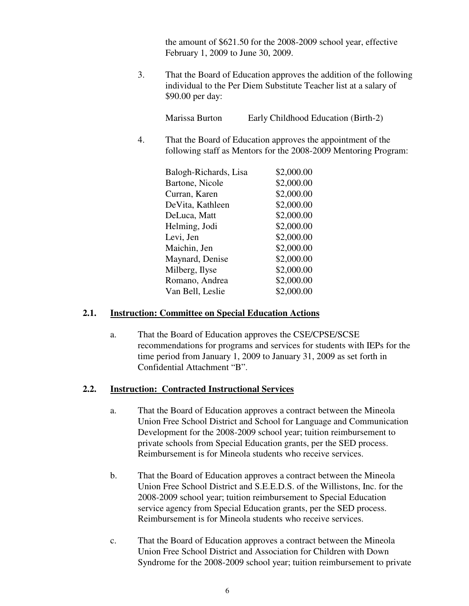the amount of \$621.50 for the 2008-2009 school year, effective February 1, 2009 to June 30, 2009.

3. That the Board of Education approves the addition of the following individual to the Per Diem Substitute Teacher list at a salary of \$90.00 per day:

Marissa Burton Early Childhood Education (Birth-2)

4. That the Board of Education approves the appointment of the following staff as Mentors for the 2008-2009 Mentoring Program:

| \$2,000.00 |
|------------|
| \$2,000.00 |
| \$2,000.00 |
| \$2,000.00 |
| \$2,000.00 |
| \$2,000.00 |
| \$2,000.00 |
| \$2,000.00 |
| \$2,000.00 |
| \$2,000.00 |
| \$2,000.00 |
| \$2,000.00 |
|            |

## **2.1. Instruction: Committee on Special Education Actions**

a. That the Board of Education approves the CSE/CPSE/SCSE recommendations for programs and services for students with IEPs for the time period from January 1, 2009 to January 31, 2009 as set forth in Confidential Attachment "B".

## **2.2. Instruction: Contracted Instructional Services**

- a. That the Board of Education approves a contract between the Mineola Union Free School District and School for Language and Communication Development for the 2008-2009 school year; tuition reimbursement to private schools from Special Education grants, per the SED process. Reimbursement is for Mineola students who receive services.
- b. That the Board of Education approves a contract between the Mineola Union Free School District and S.E.E.D.S. of the Willistons, Inc. for the 2008-2009 school year; tuition reimbursement to Special Education service agency from Special Education grants, per the SED process. Reimbursement is for Mineola students who receive services.
- c. That the Board of Education approves a contract between the Mineola Union Free School District and Association for Children with Down Syndrome for the 2008-2009 school year; tuition reimbursement to private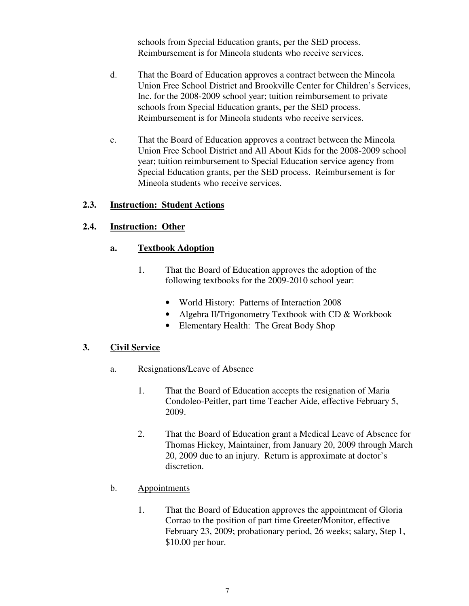schools from Special Education grants, per the SED process. Reimbursement is for Mineola students who receive services.

- d. That the Board of Education approves a contract between the Mineola Union Free School District and Brookville Center for Children's Services, Inc. for the 2008-2009 school year; tuition reimbursement to private schools from Special Education grants, per the SED process. Reimbursement is for Mineola students who receive services.
- e. That the Board of Education approves a contract between the Mineola Union Free School District and All About Kids for the 2008-2009 school year; tuition reimbursement to Special Education service agency from Special Education grants, per the SED process. Reimbursement is for Mineola students who receive services.

## **2.3. Instruction: Student Actions**

## **2.4. Instruction: Other**

### **a. Textbook Adoption**

- 1. That the Board of Education approves the adoption of the following textbooks for the 2009-2010 school year:
	- World History: Patterns of Interaction 2008
	- Algebra II/Trigonometry Textbook with CD & Workbook
	- Elementary Health: The Great Body Shop

### **3. Civil Service**

- a. Resignations/Leave of Absence
	- 1. That the Board of Education accepts the resignation of Maria Condoleo-Peitler, part time Teacher Aide, effective February 5, 2009.
	- 2. That the Board of Education grant a Medical Leave of Absence for Thomas Hickey, Maintainer, from January 20, 2009 through March 20, 2009 due to an injury. Return is approximate at doctor's discretion.
- b. Appointments
	- 1. That the Board of Education approves the appointment of Gloria Corrao to the position of part time Greeter/Monitor, effective February 23, 2009; probationary period, 26 weeks; salary, Step 1, \$10.00 per hour.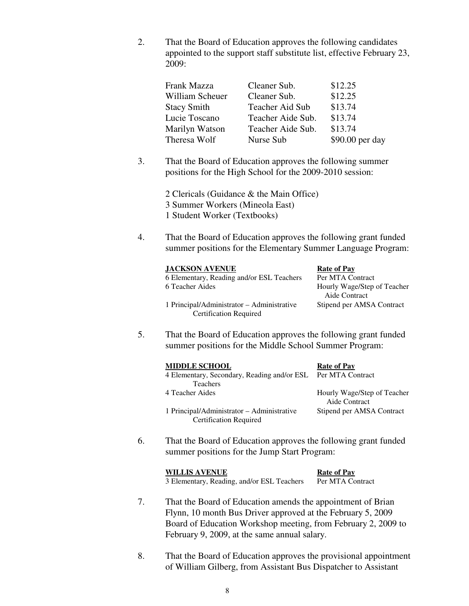2. That the Board of Education approves the following candidates appointed to the support staff substitute list, effective February 23, 2009:

| Cleaner Sub.      | \$12.25         |
|-------------------|-----------------|
| Cleaner Sub.      | \$12.25         |
| Teacher Aid Sub   | \$13.74         |
| Teacher Aide Sub. | \$13.74         |
| Teacher Aide Sub. | \$13.74         |
| Nurse Sub         | \$90.00 per day |
|                   |                 |

3. That the Board of Education approves the following summer positions for the High School for the 2009-2010 session:

> 2 Clericals (Guidance & the Main Office) 3 Summer Workers (Mineola East) 1 Student Worker (Textbooks)

4. That the Board of Education approves the following grant funded summer positions for the Elementary Summer Language Program:

#### **JACKSON AVENUE** Rate of Pay

6 Elementary, Reading and/or ESL Teachers Per MTA Contract 6 Teacher Aides Hourly Wage/Step of Teacher

1 Principal/Administrator – Administrative Stipend per AMSA Contract Certification Required

Aide Contract

5. That the Board of Education approves the following grant funded summer positions for the Middle School Summer Program:

| <b>MIDDLE SCHOOL</b>                                                        | <b>Rate of Pay</b>                           |
|-----------------------------------------------------------------------------|----------------------------------------------|
| 4 Elementary, Secondary, Reading and/or ESL Per MTA Contract                |                                              |
| <b>Teachers</b>                                                             |                                              |
| 4 Teacher Aides                                                             | Hourly Wage/Step of Teacher<br>Aide Contract |
| 1 Principal/Administrator - Administrative<br><b>Certification Required</b> | Stipend per AMSA Contract                    |

6. That the Board of Education approves the following grant funded summer positions for the Jump Start Program:

| <b>WILLIS AVENUE</b>                       | <b>Rate of Pay</b> |
|--------------------------------------------|--------------------|
| 3 Elementary, Reading, and/or ESL Teachers | Per MTA Contract   |

- 7. That the Board of Education amends the appointment of Brian Flynn, 10 month Bus Driver approved at the February 5, 2009 Board of Education Workshop meeting, from February 2, 2009 to February 9, 2009, at the same annual salary.
- 8. That the Board of Education approves the provisional appointment of William Gilberg, from Assistant Bus Dispatcher to Assistant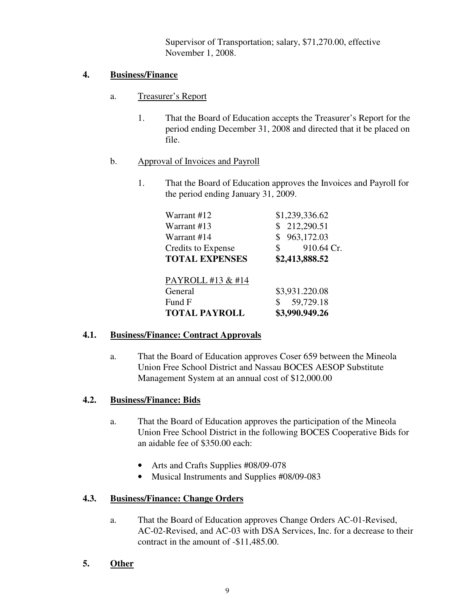Supervisor of Transportation; salary, \$71,270.00, effective November 1, 2008.

## **4. Business/Finance**

- a. Treasurer's Report
	- 1. That the Board of Education accepts the Treasurer's Report for the period ending December 31, 2008 and directed that it be placed on file.
- b. Approval of Invoices and Payroll
	- 1. That the Board of Education approves the Invoices and Payroll for the period ending January 31, 2009.

| Warrant #12           | \$1,239,336.62   |
|-----------------------|------------------|
| Warrant #13           | \$212,290.51     |
| Warrant #14           | 963,172.03<br>S. |
| Credits to Expense    | 910.64 Cr.<br>\$ |
| <b>TOTAL EXPENSES</b> | \$2,413,888.52   |
|                       |                  |
| PAYROLL #13 & #14     |                  |
| General               | \$3,931.220.08   |
| Fund F                | 59,729.18<br>\$  |
| <b>TOTAL PAYROLL</b>  | \$3,990.949.26   |

## **4.1. Business/Finance: Contract Approvals**

a. That the Board of Education approves Coser 659 between the Mineola Union Free School District and Nassau BOCES AESOP Substitute Management System at an annual cost of \$12,000.00

## **4.2. Business/Finance: Bids**

- a. That the Board of Education approves the participation of the Mineola Union Free School District in the following BOCES Cooperative Bids for an aidable fee of \$350.00 each:
	- Arts and Crafts Supplies #08/09-078
	- Musical Instruments and Supplies #08/09-083

## **4.3. Business/Finance: Change Orders**

- a. That the Board of Education approves Change Orders AC-01-Revised, AC-02-Revised, and AC-03 with DSA Services, Inc. for a decrease to their contract in the amount of -\$11,485.00.
- **5. Other**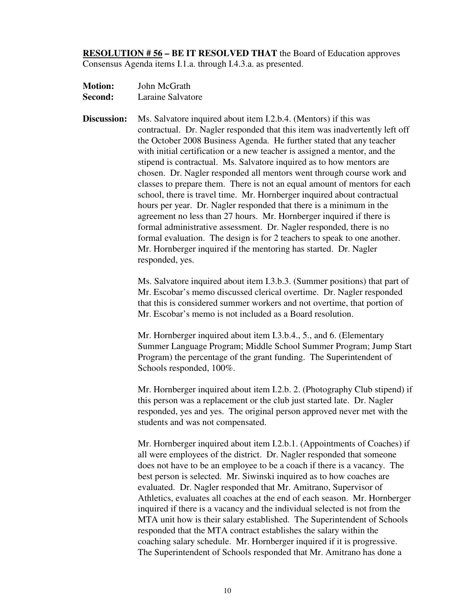**RESOLUTION # 56 – BE IT RESOLVED THAT** the Board of Education approves Consensus Agenda items I.1.a. through I.4.3.a. as presented.

- **Motion:** John McGrath **Second:** Laraine Salvatore
- **Discussion:** Ms. Salvatore inquired about item I.2.b.4. (Mentors) if this was contractual. Dr. Nagler responded that this item was inadvertently left off the October 2008 Business Agenda. He further stated that any teacher with initial certification or a new teacher is assigned a mentor, and the stipend is contractual. Ms. Salvatore inquired as to how mentors are chosen. Dr. Nagler responded all mentors went through course work and classes to prepare them. There is not an equal amount of mentors for each school, there is travel time. Mr. Hornberger inquired about contractual hours per year. Dr. Nagler responded that there is a minimum in the agreement no less than 27 hours. Mr. Hornberger inquired if there is formal administrative assessment. Dr. Nagler responded, there is no formal evaluation. The design is for 2 teachers to speak to one another. Mr. Hornberger inquired if the mentoring has started. Dr. Nagler responded, yes.

Ms. Salvatore inquired about item I.3.b.3. (Summer positions) that part of Mr. Escobar's memo discussed clerical overtime. Dr. Nagler responded that this is considered summer workers and not overtime, that portion of Mr. Escobar's memo is not included as a Board resolution.

Mr. Hornberger inquired about item I.3.b.4., 5., and 6. (Elementary Summer Language Program; Middle School Summer Program; Jump Start Program) the percentage of the grant funding. The Superintendent of Schools responded, 100%.

Mr. Hornberger inquired about item I.2.b. 2. (Photography Club stipend) if this person was a replacement or the club just started late. Dr. Nagler responded, yes and yes. The original person approved never met with the students and was not compensated.

Mr. Hornberger inquired about item I.2.b.1. (Appointments of Coaches) if all were employees of the district. Dr. Nagler responded that someone does not have to be an employee to be a coach if there is a vacancy. The best person is selected. Mr. Siwinski inquired as to how coaches are evaluated. Dr. Nagler responded that Mr. Amitrano, Supervisor of Athletics, evaluates all coaches at the end of each season. Mr. Hornberger inquired if there is a vacancy and the individual selected is not from the MTA unit how is their salary established. The Superintendent of Schools responded that the MTA contract establishes the salary within the coaching salary schedule. Mr. Hornberger inquired if it is progressive. The Superintendent of Schools responded that Mr. Amitrano has done a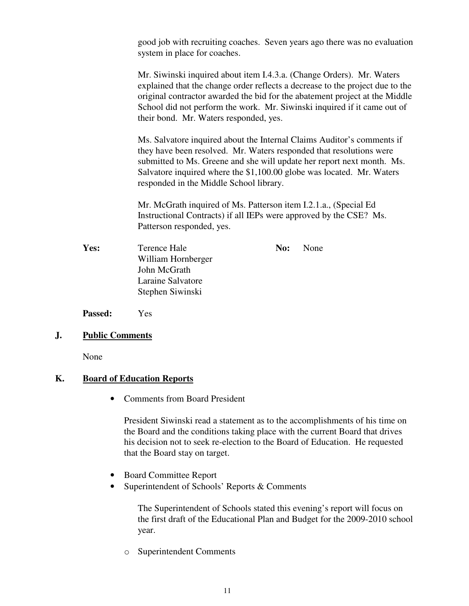good job with recruiting coaches. Seven years ago there was no evaluation system in place for coaches.

Mr. Siwinski inquired about item I.4.3.a. (Change Orders). Mr. Waters explained that the change order reflects a decrease to the project due to the original contractor awarded the bid for the abatement project at the Middle School did not perform the work. Mr. Siwinski inquired if it came out of their bond. Mr. Waters responded, yes.

Ms. Salvatore inquired about the Internal Claims Auditor's comments if they have been resolved. Mr. Waters responded that resolutions were submitted to Ms. Greene and she will update her report next month. Ms. Salvatore inquired where the \$1,100.00 globe was located. Mr. Waters responded in the Middle School library.

Mr. McGrath inquired of Ms. Patterson item I.2.1.a., (Special Ed Instructional Contracts) if all IEPs were approved by the CSE? Ms. Patterson responded, yes.

**Yes:** Terence Hale **No:** None William Hornberger John McGrath Laraine Salvatore Stephen Siwinski

**Passed:** Yes

### **J. Public Comments**

None

#### **K. Board of Education Reports**

• Comments from Board President

President Siwinski read a statement as to the accomplishments of his time on the Board and the conditions taking place with the current Board that drives his decision not to seek re-election to the Board of Education. He requested that the Board stay on target.

- Board Committee Report
- Superintendent of Schools' Reports & Comments

The Superintendent of Schools stated this evening's report will focus on the first draft of the Educational Plan and Budget for the 2009-2010 school year.

o Superintendent Comments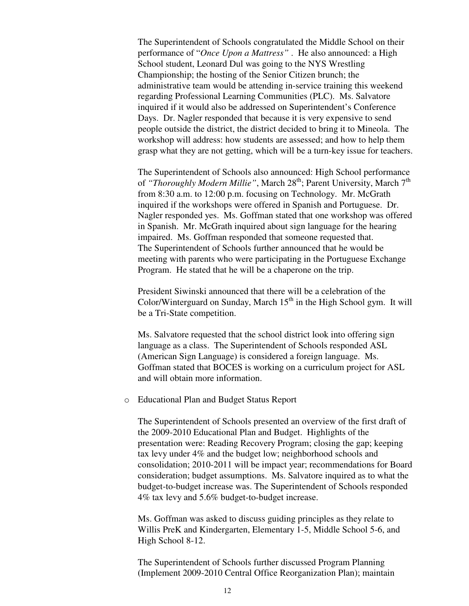The Superintendent of Schools congratulated the Middle School on their performance of "*Once Upon a Mattress"* . He also announced: a High School student, Leonard Dul was going to the NYS Wrestling Championship; the hosting of the Senior Citizen brunch; the administrative team would be attending in-service training this weekend regarding Professional Learning Communities (PLC). Ms. Salvatore inquired if it would also be addressed on Superintendent's Conference Days. Dr. Nagler responded that because it is very expensive to send people outside the district, the district decided to bring it to Mineola. The workshop will address: how students are assessed; and how to help them grasp what they are not getting, which will be a turn-key issue for teachers.

The Superintendent of Schools also announced: High School performance of *"Thoroughly Modern Millie"*, March 28<sup>th</sup>; Parent University, March 7<sup>th</sup> from 8:30 a.m. to 12:00 p.m. focusing on Technology. Mr. McGrath inquired if the workshops were offered in Spanish and Portuguese. Dr. Nagler responded yes. Ms. Goffman stated that one workshop was offered in Spanish. Mr. McGrath inquired about sign language for the hearing impaired. Ms. Goffman responded that someone requested that. The Superintendent of Schools further announced that he would be meeting with parents who were participating in the Portuguese Exchange Program. He stated that he will be a chaperone on the trip.

President Siwinski announced that there will be a celebration of the Color/Winterguard on Sunday, March  $15<sup>th</sup>$  in the High School gym. It will be a Tri-State competition.

Ms. Salvatore requested that the school district look into offering sign language as a class. The Superintendent of Schools responded ASL (American Sign Language) is considered a foreign language. Ms. Goffman stated that BOCES is working on a curriculum project for ASL and will obtain more information.

o Educational Plan and Budget Status Report

The Superintendent of Schools presented an overview of the first draft of the 2009-2010 Educational Plan and Budget. Highlights of the presentation were: Reading Recovery Program; closing the gap; keeping tax levy under 4% and the budget low; neighborhood schools and consolidation; 2010-2011 will be impact year; recommendations for Board consideration; budget assumptions. Ms. Salvatore inquired as to what the budget-to-budget increase was. The Superintendent of Schools responded 4% tax levy and 5.6% budget-to-budget increase.

Ms. Goffman was asked to discuss guiding principles as they relate to Willis PreK and Kindergarten, Elementary 1-5, Middle School 5-6, and High School 8-12.

The Superintendent of Schools further discussed Program Planning (Implement 2009-2010 Central Office Reorganization Plan); maintain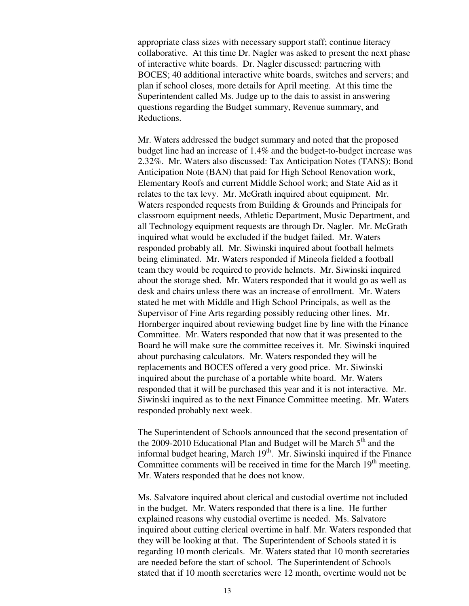appropriate class sizes with necessary support staff; continue literacy collaborative. At this time Dr. Nagler was asked to present the next phase of interactive white boards. Dr. Nagler discussed: partnering with BOCES; 40 additional interactive white boards, switches and servers; and plan if school closes, more details for April meeting. At this time the Superintendent called Ms. Judge up to the dais to assist in answering questions regarding the Budget summary, Revenue summary, and Reductions.

Mr. Waters addressed the budget summary and noted that the proposed budget line had an increase of 1.4% and the budget-to-budget increase was 2.32%. Mr. Waters also discussed: Tax Anticipation Notes (TANS); Bond Anticipation Note (BAN) that paid for High School Renovation work, Elementary Roofs and current Middle School work; and State Aid as it relates to the tax levy. Mr. McGrath inquired about equipment. Mr. Waters responded requests from Building & Grounds and Principals for classroom equipment needs, Athletic Department, Music Department, and all Technology equipment requests are through Dr. Nagler. Mr. McGrath inquired what would be excluded if the budget failed. Mr. Waters responded probably all. Mr. Siwinski inquired about football helmets being eliminated. Mr. Waters responded if Mineola fielded a football team they would be required to provide helmets. Mr. Siwinski inquired about the storage shed. Mr. Waters responded that it would go as well as desk and chairs unless there was an increase of enrollment. Mr. Waters stated he met with Middle and High School Principals, as well as the Supervisor of Fine Arts regarding possibly reducing other lines. Mr. Hornberger inquired about reviewing budget line by line with the Finance Committee. Mr. Waters responded that now that it was presented to the Board he will make sure the committee receives it. Mr. Siwinski inquired about purchasing calculators. Mr. Waters responded they will be replacements and BOCES offered a very good price. Mr. Siwinski inquired about the purchase of a portable white board. Mr. Waters responded that it will be purchased this year and it is not interactive. Mr. Siwinski inquired as to the next Finance Committee meeting. Mr. Waters responded probably next week.

The Superintendent of Schools announced that the second presentation of the 2009-2010 Educational Plan and Budget will be March  $5<sup>th</sup>$  and the informal budget hearing, March 19<sup>th</sup>. Mr. Siwinski inquired if the Finance Committee comments will be received in time for the March  $19<sup>th</sup>$  meeting. Mr. Waters responded that he does not know.

Ms. Salvatore inquired about clerical and custodial overtime not included in the budget. Mr. Waters responded that there is a line. He further explained reasons why custodial overtime is needed. Ms. Salvatore inquired about cutting clerical overtime in half. Mr. Waters responded that they will be looking at that. The Superintendent of Schools stated it is regarding 10 month clericals. Mr. Waters stated that 10 month secretaries are needed before the start of school. The Superintendent of Schools stated that if 10 month secretaries were 12 month, overtime would not be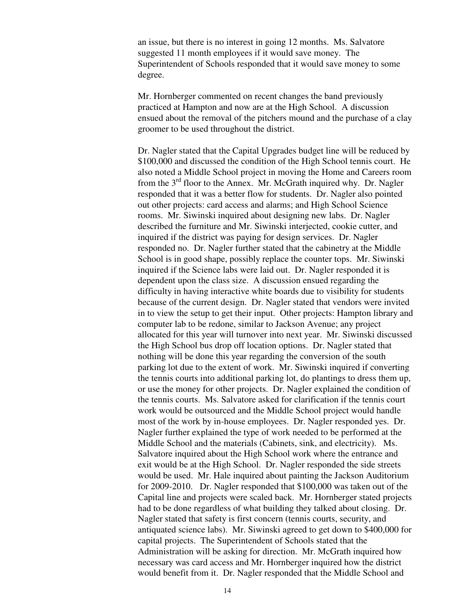an issue, but there is no interest in going 12 months. Ms. Salvatore suggested 11 month employees if it would save money. The Superintendent of Schools responded that it would save money to some degree.

Mr. Hornberger commented on recent changes the band previously practiced at Hampton and now are at the High School. A discussion ensued about the removal of the pitchers mound and the purchase of a clay groomer to be used throughout the district.

Dr. Nagler stated that the Capital Upgrades budget line will be reduced by \$100,000 and discussed the condition of the High School tennis court. He also noted a Middle School project in moving the Home and Careers room from the  $3<sup>rd</sup>$  floor to the Annex. Mr. McGrath inquired why. Dr. Nagler responded that it was a better flow for students. Dr. Nagler also pointed out other projects: card access and alarms; and High School Science rooms. Mr. Siwinski inquired about designing new labs. Dr. Nagler described the furniture and Mr. Siwinski interjected, cookie cutter, and inquired if the district was paying for design services. Dr. Nagler responded no. Dr. Nagler further stated that the cabinetry at the Middle School is in good shape, possibly replace the counter tops. Mr. Siwinski inquired if the Science labs were laid out. Dr. Nagler responded it is dependent upon the class size. A discussion ensued regarding the difficulty in having interactive white boards due to visibility for students because of the current design. Dr. Nagler stated that vendors were invited in to view the setup to get their input. Other projects: Hampton library and computer lab to be redone, similar to Jackson Avenue; any project allocated for this year will turnover into next year. Mr. Siwinski discussed the High School bus drop off location options. Dr. Nagler stated that nothing will be done this year regarding the conversion of the south parking lot due to the extent of work. Mr. Siwinski inquired if converting the tennis courts into additional parking lot, do plantings to dress them up, or use the money for other projects. Dr. Nagler explained the condition of the tennis courts. Ms. Salvatore asked for clarification if the tennis court work would be outsourced and the Middle School project would handle most of the work by in-house employees. Dr. Nagler responded yes. Dr. Nagler further explained the type of work needed to be performed at the Middle School and the materials (Cabinets, sink, and electricity). Ms. Salvatore inquired about the High School work where the entrance and exit would be at the High School. Dr. Nagler responded the side streets would be used. Mr. Hale inquired about painting the Jackson Auditorium for 2009-2010. Dr. Nagler responded that \$100,000 was taken out of the Capital line and projects were scaled back. Mr. Hornberger stated projects had to be done regardless of what building they talked about closing. Dr. Nagler stated that safety is first concern (tennis courts, security, and antiquated science labs). Mr. Siwinski agreed to get down to \$400,000 for capital projects. The Superintendent of Schools stated that the Administration will be asking for direction. Mr. McGrath inquired how necessary was card access and Mr. Hornberger inquired how the district would benefit from it. Dr. Nagler responded that the Middle School and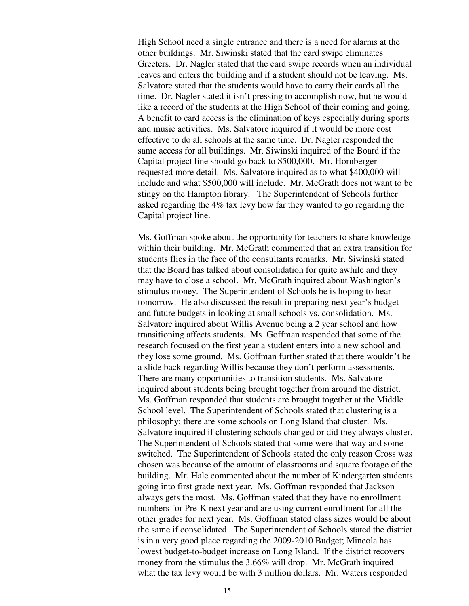High School need a single entrance and there is a need for alarms at the other buildings. Mr. Siwinski stated that the card swipe eliminates Greeters. Dr. Nagler stated that the card swipe records when an individual leaves and enters the building and if a student should not be leaving. Ms. Salvatore stated that the students would have to carry their cards all the time. Dr. Nagler stated it isn't pressing to accomplish now, but he would like a record of the students at the High School of their coming and going. A benefit to card access is the elimination of keys especially during sports and music activities. Ms. Salvatore inquired if it would be more cost effective to do all schools at the same time. Dr. Nagler responded the same access for all buildings. Mr. Siwinski inquired of the Board if the Capital project line should go back to \$500,000. Mr. Hornberger requested more detail. Ms. Salvatore inquired as to what \$400,000 will include and what \$500,000 will include. Mr. McGrath does not want to be stingy on the Hampton library. The Superintendent of Schools further asked regarding the 4% tax levy how far they wanted to go regarding the Capital project line.

Ms. Goffman spoke about the opportunity for teachers to share knowledge within their building. Mr. McGrath commented that an extra transition for students flies in the face of the consultants remarks. Mr. Siwinski stated that the Board has talked about consolidation for quite awhile and they may have to close a school. Mr. McGrath inquired about Washington's stimulus money. The Superintendent of Schools he is hoping to hear tomorrow. He also discussed the result in preparing next year's budget and future budgets in looking at small schools vs. consolidation. Ms. Salvatore inquired about Willis Avenue being a 2 year school and how transitioning affects students. Ms. Goffman responded that some of the research focused on the first year a student enters into a new school and they lose some ground. Ms. Goffman further stated that there wouldn't be a slide back regarding Willis because they don't perform assessments. There are many opportunities to transition students. Ms. Salvatore inquired about students being brought together from around the district. Ms. Goffman responded that students are brought together at the Middle School level. The Superintendent of Schools stated that clustering is a philosophy; there are some schools on Long Island that cluster. Ms. Salvatore inquired if clustering schools changed or did they always cluster. The Superintendent of Schools stated that some were that way and some switched. The Superintendent of Schools stated the only reason Cross was chosen was because of the amount of classrooms and square footage of the building. Mr. Hale commented about the number of Kindergarten students going into first grade next year. Ms. Goffman responded that Jackson always gets the most. Ms. Goffman stated that they have no enrollment numbers for Pre-K next year and are using current enrollment for all the other grades for next year. Ms. Goffman stated class sizes would be about the same if consolidated. The Superintendent of Schools stated the district is in a very good place regarding the 2009-2010 Budget; Mineola has lowest budget-to-budget increase on Long Island. If the district recovers money from the stimulus the 3.66% will drop. Mr. McGrath inquired what the tax levy would be with 3 million dollars. Mr. Waters responded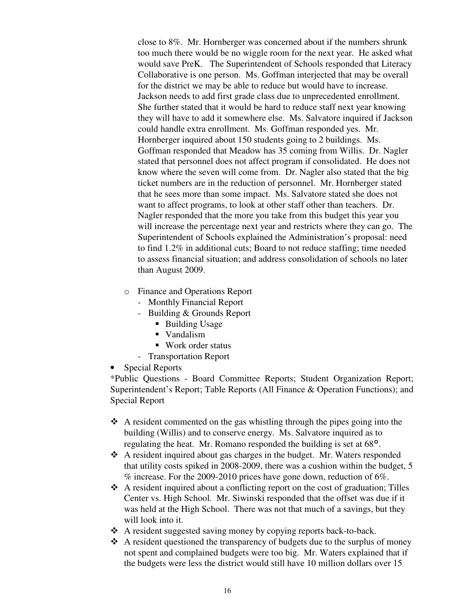close to 8%. Mr. Hornberger was concerned about if the numbers shrunk too much there would be no wiggle room for the next year. He asked what would save PreK. The Superintendent of Schools responded that Literacy Collaborative is one person. Ms. Goffman interjected that may be overall for the district we may be able to reduce but would have to increase. Jackson needs to add first grade class due to unprecedented enrollment. She further stated that it would be hard to reduce staff next year knowing they will have to add it somewhere else. Ms. Salvatore inquired if Jackson could handle extra enrollment. Ms. Goffman responded yes. Mr. Hornberger inquired about 150 students going to 2 buildings. Ms. Goffman responded that Meadow has 35 coming from Willis. Dr. Nagler stated that personnel does not affect program if consolidated. He does not know where the seven will come from. Dr. Nagler also stated that the big ticket numbers are in the reduction of personnel. Mr. Hornberger stated that he sees more than some impact. Ms. Salvatore stated she does not want to affect programs, to look at other staff other than teachers. Dr. Nagler responded that the more you take from this budget this year you will increase the percentage next year and restricts where they can go. The Superintendent of Schools explained the Administration's proposal: need to find 1.2% in additional cuts; Board to not reduce staffing; time needed to assess financial situation; and address consolidation of schools no later than August 2009.

- o Finance and Operations Report
	- Monthly Financial Report
	- Building & Grounds Report
		- Building Usage
		- Vandalism
		- Work order status
	- Transportation Report
- Special Reports

\*Public Questions - Board Committee Reports; Student Organization Report; Superintendent's Report; Table Reports (All Finance & Operation Functions); and Special Report

- \* A resident commented on the gas whistling through the pipes going into the building (Willis) and to conserve energy. Ms. Salvatore inquired as to regulating the heat. Mr. Romano responded the building is set at 68°.
- \* A resident inquired about gas charges in the budget. Mr. Waters responded that utility costs spiked in 2008-2009, there was a cushion within the budget, 5 % increase. For the 2009-2010 prices have gone down, reduction of 6%.
- A resident inquired about a conflicting report on the cost of graduation; Tilles Center vs. High School. Mr. Siwinski responded that the offset was due if it was held at the High School. There was not that much of a savings, but they will look into it.
- A resident suggested saving money by copying reports back-to-back.
- A resident questioned the transparency of budgets due to the surplus of money not spent and complained budgets were too big. Mr. Waters explained that if the budgets were less the district would still have 10 million dollars over 15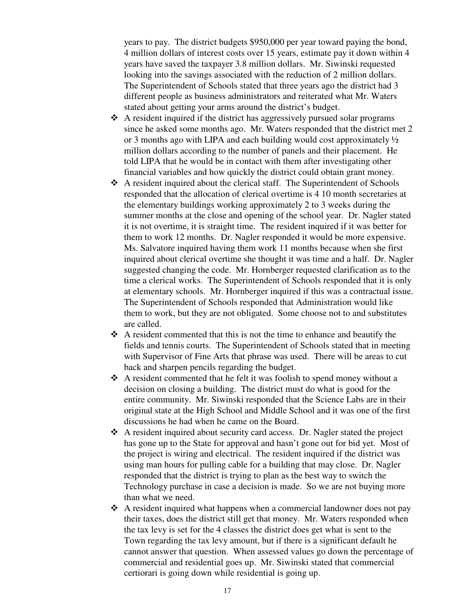years to pay. The district budgets \$950,000 per year toward paying the bond, 4 million dollars of interest costs over 15 years, estimate pay it down within 4 years have saved the taxpayer 3.8 million dollars. Mr. Siwinski requested looking into the savings associated with the reduction of 2 million dollars. The Superintendent of Schools stated that three years ago the district had 3 different people as business administrators and reiterated what Mr. Waters stated about getting your arms around the district's budget.

- A resident inquired if the district has aggressively pursued solar programs since he asked some months ago. Mr. Waters responded that the district met 2 or 3 months ago with LIPA and each building would cost approximately ½ million dollars according to the number of panels and their placement. He told LIPA that he would be in contact with them after investigating other financial variables and how quickly the district could obtain grant money.
- \* A resident inquired about the clerical staff. The Superintendent of Schools responded that the allocation of clerical overtime is 4 10 month secretaries at the elementary buildings working approximately 2 to 3 weeks during the summer months at the close and opening of the school year. Dr. Nagler stated it is not overtime, it is straight time. The resident inquired if it was better for them to work 12 months. Dr. Nagler responded it would be more expensive. Ms. Salvatore inquired having them work 11 months because when she first inquired about clerical overtime she thought it was time and a half. Dr. Nagler suggested changing the code. Mr. Hornberger requested clarification as to the time a clerical works. The Superintendent of Schools responded that it is only at elementary schools. Mr. Hornberger inquired if this was a contractual issue. The Superintendent of Schools responded that Administration would like them to work, but they are not obligated. Some choose not to and substitutes are called.
- \* A resident commented that this is not the time to enhance and beautify the fields and tennis courts. The Superintendent of Schools stated that in meeting with Supervisor of Fine Arts that phrase was used. There will be areas to cut back and sharpen pencils regarding the budget.
- \* A resident commented that he felt it was foolish to spend money without a decision on closing a building. The district must do what is good for the entire community. Mr. Siwinski responded that the Science Labs are in their original state at the High School and Middle School and it was one of the first discussions he had when he came on the Board.
- A resident inquired about security card access. Dr. Nagler stated the project has gone up to the State for approval and hasn't gone out for bid yet. Most of the project is wiring and electrical. The resident inquired if the district was using man hours for pulling cable for a building that may close. Dr. Nagler responded that the district is trying to plan as the best way to switch the Technology purchase in case a decision is made. So we are not buying more than what we need.
- A resident inquired what happens when a commercial landowner does not pay their taxes, does the district still get that money. Mr. Waters responded when the tax levy is set for the 4 classes the district does get what is sent to the Town regarding the tax levy amount, but if there is a significant default he cannot answer that question. When assessed values go down the percentage of commercial and residential goes up. Mr. Siwinski stated that commercial certiorari is going down while residential is going up.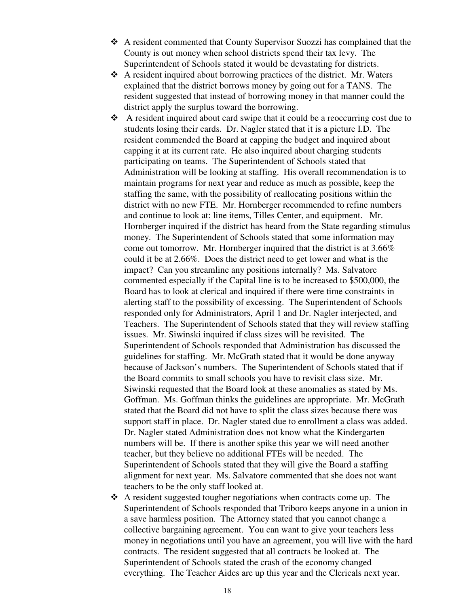- A resident commented that County Supervisor Suozzi has complained that the County is out money when school districts spend their tax levy. The Superintendent of Schools stated it would be devastating for districts.
- \* A resident inquired about borrowing practices of the district. Mr. Waters explained that the district borrows money by going out for a TANS. The resident suggested that instead of borrowing money in that manner could the district apply the surplus toward the borrowing.
- \* A resident inquired about card swipe that it could be a reoccurring cost due to students losing their cards. Dr. Nagler stated that it is a picture I.D. The resident commended the Board at capping the budget and inquired about capping it at its current rate. He also inquired about charging students participating on teams. The Superintendent of Schools stated that Administration will be looking at staffing. His overall recommendation is to maintain programs for next year and reduce as much as possible, keep the staffing the same, with the possibility of reallocating positions within the district with no new FTE. Mr. Hornberger recommended to refine numbers and continue to look at: line items, Tilles Center, and equipment. Mr. Hornberger inquired if the district has heard from the State regarding stimulus money. The Superintendent of Schools stated that some information may come out tomorrow. Mr. Hornberger inquired that the district is at 3.66% could it be at 2.66%. Does the district need to get lower and what is the impact? Can you streamline any positions internally? Ms. Salvatore commented especially if the Capital line is to be increased to \$500,000, the Board has to look at clerical and inquired if there were time constraints in alerting staff to the possibility of excessing. The Superintendent of Schools responded only for Administrators, April 1 and Dr. Nagler interjected, and Teachers. The Superintendent of Schools stated that they will review staffing issues. Mr. Siwinski inquired if class sizes will be revisited. The Superintendent of Schools responded that Administration has discussed the guidelines for staffing. Mr. McGrath stated that it would be done anyway because of Jackson's numbers. The Superintendent of Schools stated that if the Board commits to small schools you have to revisit class size. Mr. Siwinski requested that the Board look at these anomalies as stated by Ms. Goffman. Ms. Goffman thinks the guidelines are appropriate. Mr. McGrath stated that the Board did not have to split the class sizes because there was support staff in place. Dr. Nagler stated due to enrollment a class was added. Dr. Nagler stated Administration does not know what the Kindergarten numbers will be. If there is another spike this year we will need another teacher, but they believe no additional FTEs will be needed. The Superintendent of Schools stated that they will give the Board a staffing alignment for next year. Ms. Salvatore commented that she does not want teachers to be the only staff looked at.
- A resident suggested tougher negotiations when contracts come up. The Superintendent of Schools responded that Triboro keeps anyone in a union in a save harmless position. The Attorney stated that you cannot change a collective bargaining agreement. You can want to give your teachers less money in negotiations until you have an agreement, you will live with the hard contracts. The resident suggested that all contracts be looked at. The Superintendent of Schools stated the crash of the economy changed everything. The Teacher Aides are up this year and the Clericals next year.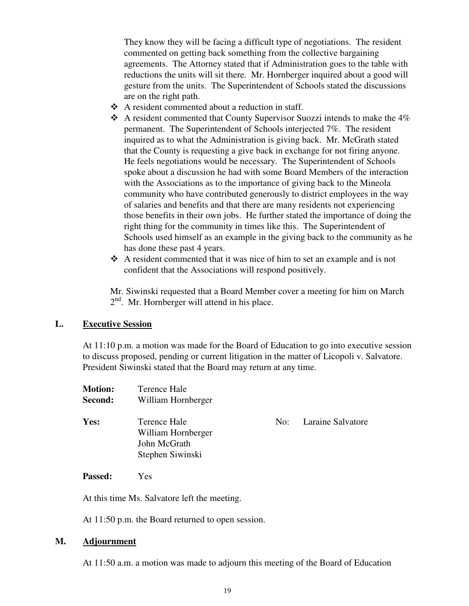They know they will be facing a difficult type of negotiations. The resident commented on getting back something from the collective bargaining agreements. The Attorney stated that if Administration goes to the table with reductions the units will sit there. Mr. Hornberger inquired about a good will gesture from the units. The Superintendent of Schools stated the discussions are on the right path.

- A resident commented about a reduction in staff.
- \* A resident commented that County Supervisor Suozzi intends to make the 4% permanent. The Superintendent of Schools interjected 7%. The resident inquired as to what the Administration is giving back. Mr. McGrath stated that the County is requesting a give back in exchange for not firing anyone. He feels negotiations would be necessary. The Superintendent of Schools spoke about a discussion he had with some Board Members of the interaction with the Associations as to the importance of giving back to the Mineola community who have contributed generously to district employees in the way of salaries and benefits and that there are many residents not experiencing those benefits in their own jobs. He further stated the importance of doing the right thing for the community in times like this. The Superintendent of Schools used himself as an example in the giving back to the community as he has done these past 4 years.
- A resident commented that it was nice of him to set an example and is not confident that the Associations will respond positively.

Mr. Siwinski requested that a Board Member cover a meeting for him on March  $2<sup>nd</sup>$ . Mr. Hornberger will attend in his place.

### **L. Executive Session**

At 11:10 p.m. a motion was made for the Board of Education to go into executive session to discuss proposed, pending or current litigation in the matter of Licopoli v. Salvatore. President Siwinski stated that the Board may return at any time.

| <b>Motion:</b><br>Second: | Terence Hale<br>William Hornberger                                     |     |                   |
|---------------------------|------------------------------------------------------------------------|-----|-------------------|
| Yes:                      | Terence Hale<br>William Hornberger<br>John McGrath<br>Stephen Siwinski | No: | Laraine Salvatore |

**Passed:** Yes

At this time Ms. Salvatore left the meeting.

At 11:50 p.m. the Board returned to open session.

### **M. Adjournment**

At 11:50 a.m. a motion was made to adjourn this meeting of the Board of Education